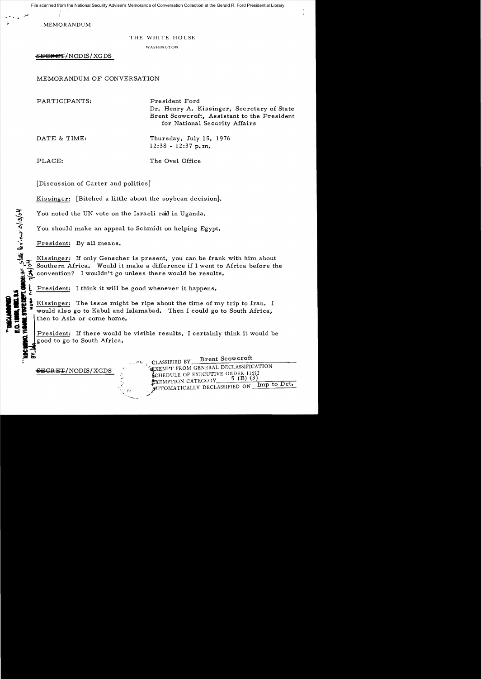File scanned from the National Security Adviser's Memoranda of Conversation Collection at the Gerald R. Ford Presidential Library

**MEMORANDUM** 

-..

## THE WHITE HOUSE

WASHINGTON

 $S$ EGRET/NODIS/XGDS

MEMORANDUM OF CONVERSATION

PARTICIPANTS: President Ford

Dr. Henry A. Kissinger, Secretary of State Brent Scowcroft, Assistant to the President for National Security Affairs

DATE & TIME: Thursday, July 15, 1976  $12:38 - 12:37$  p.m.

CONDELINE, state deviews 3/13/04

**INTERNATION** 

d.

PLACE: The Oval Office

[Discussion of Carter and politics]

Kissinger: [Bitched a little about the soybean decision].

You noted the UN vote on the Israeli raid in Uganda.

You should make an appeal to Schmidt on helping Egypt.

President: By all means.

Kissinger: If only Genscher is present, you can be frank with him about Southern Africa. Would it make a difference if I went to Africa before the convention? I wouldn't go unless there would be results.

President: I think it will be good whenever it happens.

II!! Kissinger: The issue might be ripe about the time of my trip to Iran. I If  $\frac{1}{2}$  would also go to Kabul and Islamabad. Then I could go to South Africa, **E** would also go to Kabul and Islamabad. Then I could go to South Africa,<br> **A** if then to Asia or come home. then to Asia or come home.

Fresident: If there would be visible results, I certainly think it would be good to go to South Africa.

CLASSIFIED BY Brent Scowcroft WERT FROM GENERAL DECLASSIFICATION E-SECRET FROM GENERAL DECLASSIFICATION SERIES (B) (3) EXEMPTION CATEGORY MUTOMATICALLY DECLASSIFIED ON Imp to Det. ~~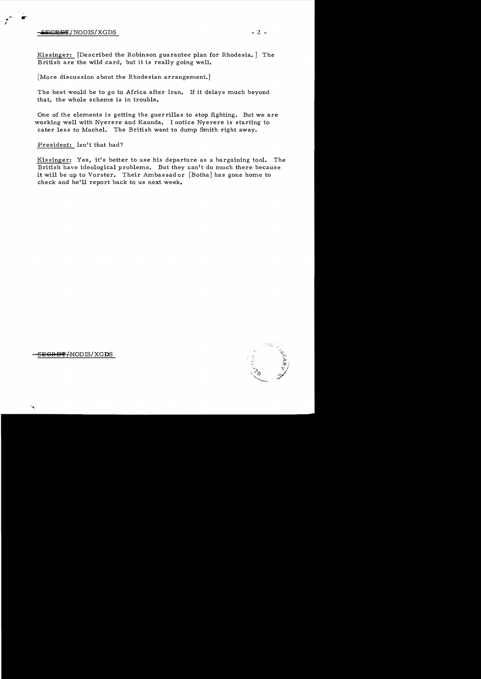$\frac{W}{\sqrt{2}}$   $\frac{W}{\sqrt{2}}$   $\frac{W}{\sqrt{2}}$   $\frac{W}{\sqrt{2}}$   $\frac{W}{\sqrt{2}}$   $\frac{W}{\sqrt{2}}$   $\frac{W}{\sqrt{2}}$   $\frac{W}{\sqrt{2}}$   $\frac{W}{\sqrt{2}}$   $\frac{W}{\sqrt{2}}$   $\frac{W}{\sqrt{2}}$   $\frac{W}{\sqrt{2}}$   $\frac{W}{\sqrt{2}}$   $\frac{W}{\sqrt{2}}$   $\frac{W}{\sqrt{2}}$   $\frac{W}{\sqrt{2}}$   $\frac{W}{\sqrt{2}}$ 

.... , ~r

;1

Kissinger: [Described the Robinson guarantee plan for Rhodesia.] The British are the wild card, but it is really going well.

[More discussion about the Rhodesian arrangement.]

The best would be to go to Africa after Iran. If it delays much beyond that, the whole scheme is in trouble.

One of the elements is getting the guer rillas to stop fighting. But we are working well with Nyerere and Kaunda. I notice Nyerere is starting to cater less to Machel. The British want to dump Smith right away.

President: Isn't that bad?

Kissinger: Yes, it's better to use his departure as a bargaining tool. The British have ideological problems. But they can't do much there because it will be up to Vorster. Their Ambassad or [Botha] has gone home to check and he'll report back to us next week.



SEGRET/NODIS/XGDS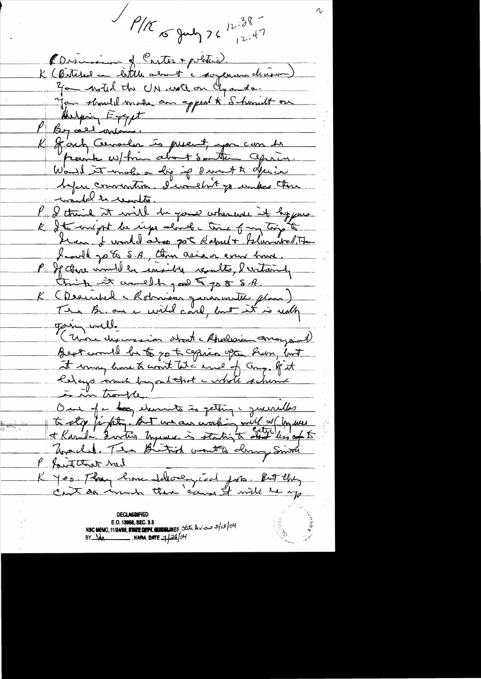$1.38 -$ <br> $1.38$  $12:47$ PDiscosion of Conter + politics. K (Bitched a little about a soyeman decision) 30 - with the UN crote on Clyande. Jan should make an appeal to Schoolt on And pring  $E = \gamma \gamma \mu t$ P By all union. K fort Censeler is present, you can be "perite us/him about Southern apricon. Would it makes a dip if I won't a derive before convention. I wouldn't go unless there would be center. P & think it will be gone whenever it hypes. R det méget du rige about c time of my trip to Ken I would also got Habult Islamitalite Landl go to S.A., than asia or event brunt. P If three would be exsible counts, I untainly think it would good to go to S.A. K (Derinhed Motorison gararvautic plus)<br>Tim Brian a civile and, but it is noth gain well. 11 avrille Best could be to go to copies often hun but it may kne to conit til e en et ang. If it to stop fight, But we are working with or Un west P fait that had K Jes. They have side on just the hot they **DECLASSIFIED** E.O. 12058, SEC. 3.5 NSC MEMO, 11/24/98, STATE DEPT. GUIDELINES, State Deview 3/13/04